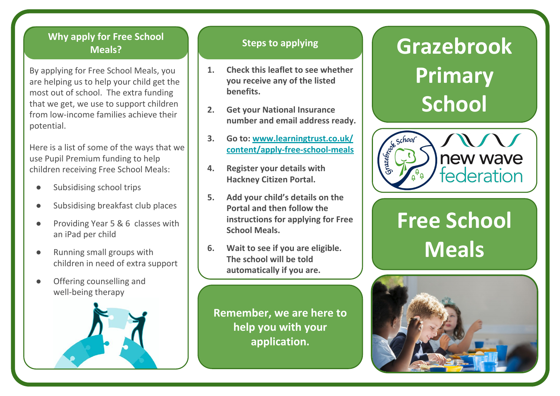## **Shacklewell Why apply for Free School Meals? Steps to applying**

**By applying for Free School Meals, you** are helping us to help your child get the most out of school. The extra funding that we get, we use to support children from low-income families achieve their potential.

Here is a list of some of the ways that we use Pupil Premium funding to help children receiving Free School Meals:

- Subsidising school trips
- Subsidising breakfast club places
- Providing Year 5 & 6 classes with an iPad per child
- Running small groups with children in need of extra support
- Offering counselling and well-being therapy



- **1. Check this leaflet to see whether you receive any of the listed benefits.**
- **2. Get your National Insurance number and email address ready.**
- **3. Go to: [www.learningtrust.co.uk/](http://www.learningtrust.co.uk/content/apply-free-school-meals) [content/apply-free-school-meals](http://www.learningtrust.co.uk/content/apply-free-school-meals)**
- **4. Register your details with Hackney Citizen Portal.**
- **5. Add your child's details on the Portal and then follow the instructions for applying for Free School Meals.**
- **6. Wait to see if you are eligible. The school will be told automatically if you are.**

**Remember, we are here to help you with your application.**

# **Grazebrook Primary School**



# **Free School Meals**